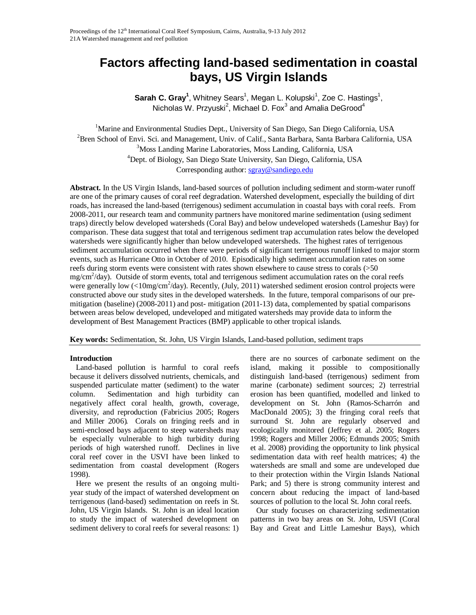# **Factors affecting land-based sedimentation in coastal bays, US Virgin Islands**

Sarah C. Gray<sup>1</sup>, Whitney Sears<sup>1</sup>, Megan L. Kolupski<sup>1</sup>, Zoe C. Hastings<sup>1</sup>, Nicholas W. Przyuski $^2$ , Michael D. Fox $^3$  and Amalia DeGrood $^4$ 

<sup>1</sup>Marine and Environmental Studies Dept., University of San Diego, San Diego California, USA <sup>2</sup>Bren School of Envi. Sci. and Management, Univ. of Calif., Santa Barbara, Santa Barbara California, USA 3 Moss Landing Marine Laboratories, Moss Landing, California, USA 4 Dept. of Biology, San Diego State University, San Diego, California, USA Corresponding author[: sgray@sandiego.edu](mailto:a.author@jcu.edu.au)

**Abstract.** In the US Virgin Islands, land-based sources of pollution including sediment and storm-water runoff are one of the primary causes of coral reef degradation. Watershed development, especially the building of dirt roads, has increased the land-based (terrigenous) sediment accumulation in coastal bays with coral reefs. From 2008-2011, our research team and community partners have monitored marine sedimentation (using sediment traps) directly below developed watersheds (Coral Bay) and below undeveloped watersheds (Lameshur Bay) for comparison. These data suggest that total and terrigenous sediment trap accumulation rates below the developed watersheds were significantly higher than below undeveloped watersheds. The highest rates of terrigenous sediment accumulation occurred when there were periods of significant terrigenous runoff linked to major storm events, such as Hurricane Otto in October of 2010. Episodically high sediment accumulation rates on some reefs during storm events were consistent with rates shown elsewhere to cause stress to corals (>50 mg/cm<sup>2</sup>/day). Outside of storm events, total and terrigenous sediment accumulation rates on the coral reefs were generally low (<10mg/cm<sup>2</sup>/day). Recently, (July, 2011) watershed sediment erosion control projects were constructed above our study sites in the developed watersheds. In the future, temporal comparisons of our premitigation (baseline) (2008-2011) and post- mitigation (2011-13) data, complemented by spatial comparisons between areas below developed, undeveloped and mitigated watersheds may provide data to inform the development of Best Management Practices (BMP) applicable to other tropical islands.

**Key words:** Sedimentation, St. John, US Virgin Islands, Land-based pollution, sediment traps

# **Introduction**

 Land-based pollution is harmful to coral reefs because it delivers dissolved nutrients, chemicals, and suspended particulate matter (sediment) to the water column. Sedimentation and high turbidity can negatively affect coral health, growth, coverage, diversity, and reproduction (Fabricius 2005; Rogers and Miller 2006). Corals on fringing reefs and in semi-enclosed bays adjacent to steep watersheds may be especially vulnerable to high turbidity during periods of high watershed runoff. Declines in live coral reef cover in the USVI have been linked to sedimentation from coastal development (Rogers 1998).

 Here we present the results of an ongoing multiyear study of the impact of watershed development on terrigenous (land-based) sedimentation on reefs in St. John, US Virgin Islands. St. John is an ideal location to study the impact of watershed development on sediment delivery to coral reefs for several reasons: 1)

there are no sources of carbonate sediment on the island, making it possible to compositionally distinguish land-based (terrigenous) sediment from marine (carbonate) sediment sources; 2) terrestrial erosion has been quantified, modelled and linked to development on St. John (Ramos-Scharrón and MacDonald 2005); 3) the fringing coral reefs that surround St. John are regularly observed and ecologically monitored (Jeffrey et al. 2005; Rogers 1998; Rogers and Miller 2006; Edmunds 2005; Smith et al. 2008) providing the opportunity to link physical sedimentation data with reef health matrices; 4) the watersheds are small and some are undeveloped due to their protection within the Virgin Islands National Park; and 5) there is strong community interest and concern about reducing the impact of land-based sources of pollution to the local St. John coral reefs.

 Our study focuses on characterizing sedimentation patterns in two bay areas on St. John, USVI (Coral Bay and Great and Little Lameshur Bays), which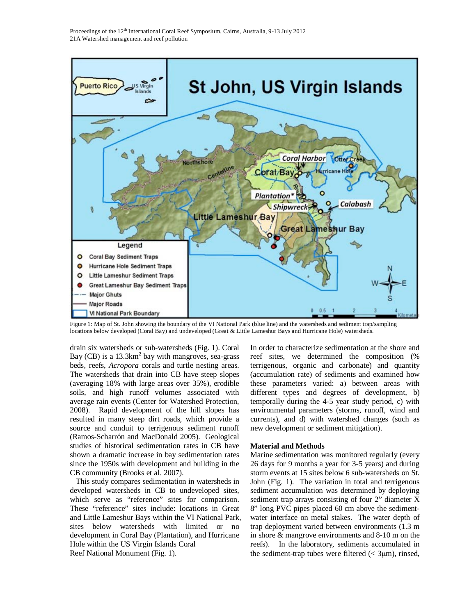

Figure 1: Map of St. John showing the boundary of the VI National Park (blue line) and the watersheds and sediment trap/sampling locations below developed (Coral Bay) and undeveloped (Great & Little Lameshur Bays and Hurricane Hole) watersheds.

drain six watersheds or sub-watersheds (Fig. 1). Coral Bay (CB) is a  $13.3 \text{km}^2$  bay with mangroves, sea-grass beds, reefs, *Acropora* corals and turtle nesting areas. The watersheds that drain into CB have steep slopes (averaging 18% with large areas over 35%), erodible soils, and high runoff volumes associated with average rain events (Center for Watershed Protection, 2008). Rapid development of the hill slopes has resulted in many steep dirt roads, which provide a source and conduit to terrigenous sediment runoff (Ramos-Scharrón and MacDonald 2005). Geological studies of historical sedimentation rates in CB have shown a dramatic increase in bay sedimentation rates since the 1950s with development and building in the CB community (Brooks et al. 2007).

 This study compares sedimentation in watersheds in developed watersheds in CB to undeveloped sites, which serve as "reference" sites for comparison. These "reference" sites include: locations in Great and Little Lameshur Bays within the VI National Park, sites below watersheds with limited or no development in Coral Bay (Plantation), and Hurricane Hole within the US Virgin Islands Coral Reef National Monument (Fig. 1).

In order to characterize sedimentation at the shore and reef sites, we determined the composition (% terrigenous, organic and carbonate) and quantity (accumulation rate) of sediments and examined how these parameters varied: a) between areas with different types and degrees of development, b) temporally during the 4-5 year study period, c) with environmental parameters (storms, runoff, wind and currents), and d) with watershed changes (such as new development or sediment mitigation).

# **Material and Methods**

Marine sedimentation was monitored regularly (every 26 days for 9 months a year for 3-5 years) and during storm events at 15 sites below 6 sub-watersheds on St. John (Fig. 1). The variation in total and terrigenous sediment accumulation was determined by deploying sediment trap arrays consisting of four 2" diameter X 8" long PVC pipes placed 60 cm above the sedimentwater interface on metal stakes. The water depth of trap deployment varied between environments (1.3 m in shore & mangrove environments and 8-10 m on the reefs). In the laboratory, sediments accumulated in the sediment-trap tubes were filtered  $( $3 \mu m$ ), rinsed,$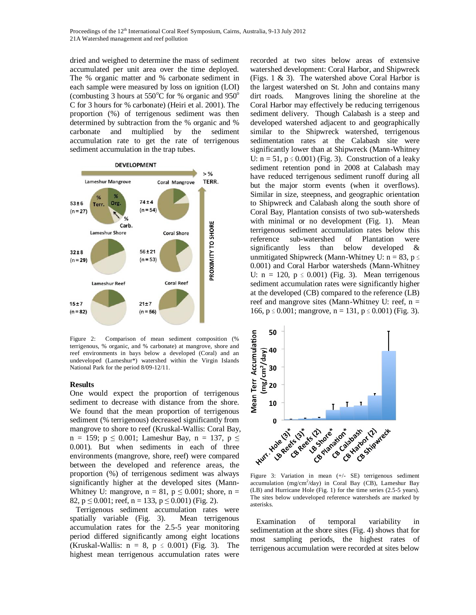Proceedings of the 12<sup>th</sup> International Coral Reef Symposium, Cairns, Australia, 9-13 July 2012 21A Watershed management and reef pollution

dried and weighed to determine the mass of sediment accumulated per unit area over the time deployed. The % organic matter and % carbonate sediment in each sample were measured by loss on ignition (LOI) (combusting 3 hours at  $550^{\circ}$ C for % organic and  $950^{\circ}$ C for 3 hours for % carbonate) (Heiri et al. 2001). The proportion (%) of terrigenous sediment was then determined by subtraction from the % organic and % carbonate and multiplied by the sediment accumulation rate to get the rate of terrigenous sediment accumulation in the trap tubes.



Figure 2: Comparison of mean sediment composition (% terrigenous, % organic, and % carbonate) at mangrove, shore and reef environments in bays below a developed (Coral) and an undeveloped (Lameshur\*) watershed within the Virgin Islands National Park for the period 8/09-12/11.

### **Results**

One would expect the proportion of terrigenous sediment to decrease with distance from the shore. We found that the mean proportion of terrigenous sediment (% terrigenous) decreased significantly from mangrove to shore to reef (Kruskal-Wallis: Coral Bay,  $n = 159$ ;  $p \le 0.001$ ; Lameshur Bay,  $n = 137$ ,  $p \le$ 0.001). But when sediments in each of three environments (mangrove, shore, reef) were compared between the developed and reference areas, the proportion (%) of terrigenous sediment was always significantly higher at the developed sites (Mann-Whitney U: mangrove,  $n = 81$ ,  $p \le 0.001$ ; shore,  $n =$ 82,  $p \le 0.001$ ; reef,  $n = 133$ ,  $p \le 0.001$ ) (Fig. 2).

 Terrigenous sediment accumulation rates were spatially variable (Fig. 3). Mean terrigenous accumulation rates for the 2.5-5 year monitoring period differed significantly among eight locations (Kruskal-Wallis:  $n = 8$ ,  $p \le 0.001$ ) (Fig. 3). The highest mean terrigenous accumulation rates were

recorded at two sites below areas of extensive watershed development: Coral Harbor, and Shipwreck (Figs. 1 & 3). The watershed above Coral Harbor is the largest watershed on St. John and contains many dirt roads. Mangroves lining the shoreline at the Coral Harbor may effectively be reducing terrigenous sediment delivery. Though Calabash is a steep and developed watershed adjacent to and geographically similar to the Shipwreck watershed, terrigenous sedimentation rates at the Calabash site were significantly lower than at Shipwreck (Mann-Whitney U:  $n = 51$ ,  $p \le 0.001$ ) (Fig. 3). Construction of a leaky sediment retention pond in 2008 at Calabash may have reduced terrigenous sediment runoff during all but the major storm events (when it overflows). Similar in size, steepness, and geographic orientation to Shipwreck and Calabash along the south shore of Coral Bay, Plantation consists of two sub-watersheds with minimal or no development (Fig. 1). Mean terrigenous sediment accumulation rates below this reference sub-watershed of Plantation were significantly less than below developed & unmitigated Shipwreck (Mann-Whitney U:  $n = 83$ ,  $p \leq$ 0.001) and Coral Harbor watersheds (Mann-Whitney U:  $n = 120$ ,  $p \le 0.001$ ) (Fig. 3). Mean terrigenous sediment accumulation rates were significantly higher at the developed (CB) compared to the reference (LB) reef and mangrove sites (Mann-Whitney U: reef, n = 166, p ≤ 0.001; mangrove, n = 131, p ≤ 0.001) (Fig. 3).



Figure 3: Variation in mean (+/- SE) terrigenous sediment accumulation (mg/cm<sup>2</sup>/day) in Coral Bay (CB), Lameshur Bay (LB) and Hurricane Hole (Fig. 1) for the time series (2.5-5 years). The sites below undeveloped reference watersheds are marked by asterisks.

 Examination of temporal variability in sedimentation at the shore sites (Fig. 4) shows that for most sampling periods, the highest rates of terrigenous accumulation were recorded at sites below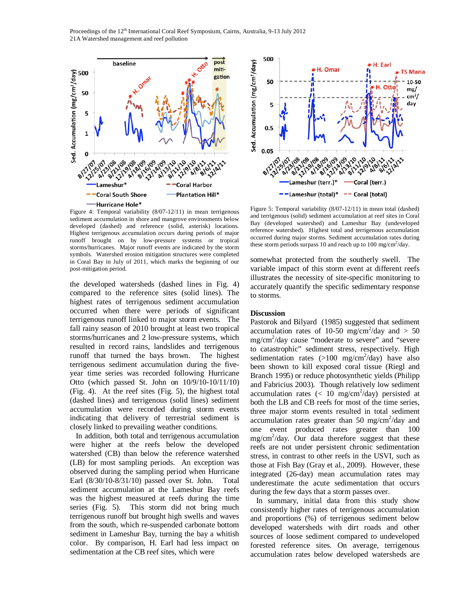Proceedings of the 12<sup>th</sup> International Coral Reef Symposium, Cairns, Australia, 9-13 July 2012 21A Watershed management and reef pollution



Figure 4: Temporal variability (8/07-12/11) in mean terrigenous sediment accumulation in shore and mangrove environments below developed (dashed) and reference (solid, asterisk) locations. Highest terrigenous accumulation occurs during periods of major runoff brought on by low-pressure systems or tropical storms/hurricanes. Major runoff events are indicated by the storm symbols. Watershed erosion mitigation structures were completed in Coral Bay in July of 2011, which marks the beginning of our post-mitigation period.

the developed watersheds (dashed lines in Fig. 4) compared to the reference sites (solid lines). The highest rates of terrigenous sediment accumulation occurred when there were periods of significant terrigenous runoff linked to major storm events. The fall rainy season of 2010 brought at least two tropical storms/hurricanes and 2 low-pressure systems, which resulted in record rains, landslides and terrigenous runoff that turned the bays brown. The highest terrigenous sediment accumulation during the fiveyear time series was recorded following Hurricane Otto (which passed St. John on 10/9/10-10/11/10) (Fig. 4). At the reef sites (Fig. 5), the highest total (dashed lines) and terrigenous (solid lines) sediment accumulation were recorded during storm events indicating that delivery of terrestrial sediment is closely linked to prevailing weather conditions.

 In addition, both total and terrigenous accumulation were higher at the reefs below the developed watershed (CB) than below the reference watershed (LB) for most sampling periods. An exception was observed during the sampling period when Hurricane Earl (8/30/10-8/31/10) passed over St. John. Total sediment accumulation at the Lameshur Bay reefs was the highest measured at reefs during the time series (Fig. 5). This storm did not bring much terrigenous runoff but brought high swells and waves from the south, which re-suspended carbonate bottom sediment in Lameshur Bay, turning the bay a whitish color. By comparison, H. Earl had less impact on sedimentation at the CB reef sites, which were



Figure 5: Temporal variability (8/07-12/11) in mean total (dashed) and terrigenous (solid) sediment accumulation at reef sites in Coral Bay (developed watershed) and Lameshur Bay (undeveloped reference watershed). Highest total and terrigenous accumulation occurred during major storms. Sediment accumulation rates during these storm periods surpass 10 and reach up to 100 mg/cm<sup>2</sup>/day.

somewhat protected from the southerly swell. The variable impact of this storm event at different reefs illustrates the necessity of site-specific monitoring to accurately quantify the specific sedimentary response to storms.

#### **Discussion**

Pastorok and Bilyard (1985) suggested that sediment accumulation rates of 10-50 mg/cm<sup>2</sup>/day and  $> 50$ mg/cm<sup>2</sup>/day cause "moderate to severe" and "severe to catastrophic" sediment stress, respectively. High sedimentation rates  $(>100 \text{ mg/cm}^2/\text{day})$  have also been shown to kill exposed coral tissue (Riegl and Branch 1995) or reduce photosynthetic yields (Philipp and Fabricius 2003). Though relatively low sediment accumulation rates (< 10  $mg/cm^2/day$ ) persisted at both the LB and CB reefs for most of the time series, three major storm events resulted in total sediment accumulation rates greater than 50 mg/cm<sup>2</sup>/day and one event produced rates greater than 100  $mg/cm<sup>2</sup>/day$ . Our data therefore suggest that these reefs are not under persistent chronic sedimentation stress, in contrast to other reefs in the USVI, such as those at Fish Bay (Gray et al., 2009). However, these integrated (26-day) mean accumulation rates may underestimate the acute sedimentation that occurs during the few days that a storm passes over.

 In summary, initial data from this study show consistently higher rates of terrigenous accumulation and proportions (%) of terrigenous sediment below developed watersheds with dirt roads and other sources of loose sediment compared to undeveloped forested reference sites. On average, terrigenous accumulation rates below developed watersheds are